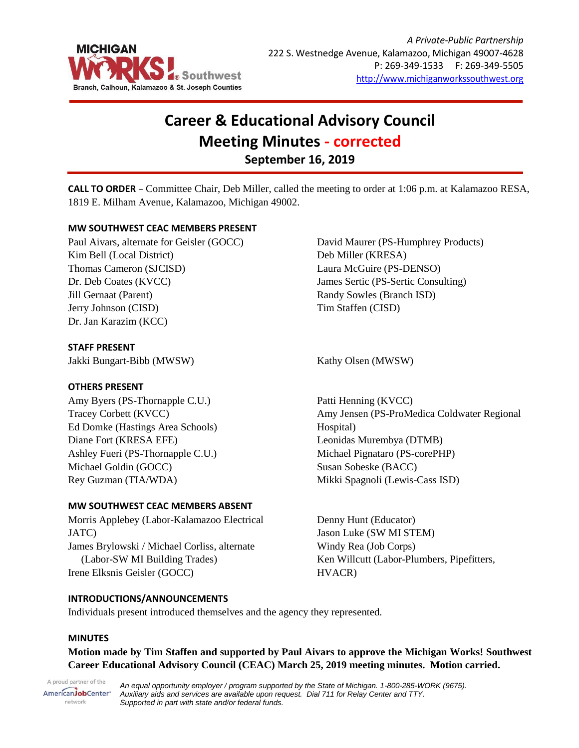

# **Career & Educational Advisory Council Meeting Minutes - corrected September 16, 2019**

**CALL TO ORDER** – Committee Chair, Deb Miller, called the meeting to order at 1:06 p.m. at Kalamazoo RESA, 1819 E. Milham Avenue, Kalamazoo, Michigan 49002.

# **MW SOUTHWEST CEAC MEMBERS PRESENT**

Paul Aivars, alternate for Geisler (GOCC) Kim Bell (Local District) Thomas Cameron (SJCISD) Dr. Deb Coates (KVCC) Jill Gernaat (Parent) Jerry Johnson (CISD) Dr. Jan Karazim (KCC)

# **STAFF PRESENT**

Jakki Bungart-Bibb (MWSW) Kathy Olsen (MWSW)

## **OTHERS PRESENT**

Amy Byers (PS-Thornapple C.U.) Tracey Corbett (KVCC) Ed Domke (Hastings Area Schools) Diane Fort (KRESA EFE) Ashley Fueri (PS-Thornapple C.U.) Michael Goldin (GOCC) Rey Guzman (TIA/WDA)

## **MW SOUTHWEST CEAC MEMBERS ABSENT**

Morris Applebey (Labor-Kalamazoo Electrical JATC) James Brylowski / Michael Corliss, alternate (Labor-SW MI Building Trades) Irene Elksnis Geisler (GOCC)

David Maurer (PS-Humphrey Products) Deb Miller (KRESA) Laura McGuire (PS-DENSO) James Sertic (PS-Sertic Consulting) Randy Sowles (Branch ISD) Tim Staffen (CISD)

Patti Henning (KVCC) Amy Jensen (PS-ProMedica Coldwater Regional Hospital) Leonidas Murembya (DTMB) Michael Pignataro (PS-corePHP) Susan Sobeske (BACC) Mikki Spagnoli (Lewis-Cass ISD)

Denny Hunt (Educator) Jason Luke (SW MI STEM) Windy Rea (Job Corps) Ken Willcutt (Labor-Plumbers, Pipefitters, HVACR)

## **INTRODUCTIONS/ANNOUNCEMENTS**

Individuals present introduced themselves and the agency they represented.

## **MINUTES**

**Motion made by Tim Staffen and supported by Paul Aivars to approve the Michigan Works! Southwest Career Educational Advisory Council (CEAC) March 25, 2019 meeting minutes. Motion carried.**

A proud partner of the AmericanJobCenter\* network

*An equal opportunity employer / program supported by the State of Michigan. 1-800-285-WORK (9675). Auxiliary aids and services are available upon request. Dial 711 for Relay Center and TTY. Supported in part with state and/or federal funds.*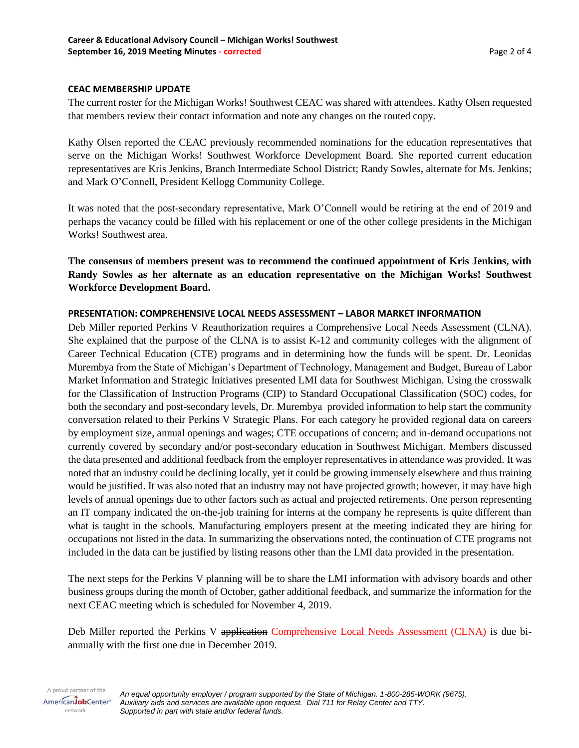## **CEAC MEMBERSHIP UPDATE**

The current roster for the Michigan Works! Southwest CEAC was shared with attendees. Kathy Olsen requested that members review their contact information and note any changes on the routed copy.

Kathy Olsen reported the CEAC previously recommended nominations for the education representatives that serve on the Michigan Works! Southwest Workforce Development Board. She reported current education representatives are Kris Jenkins, Branch Intermediate School District; Randy Sowles, alternate for Ms. Jenkins; and Mark O'Connell, President Kellogg Community College.

It was noted that the post-secondary representative, Mark O'Connell would be retiring at the end of 2019 and perhaps the vacancy could be filled with his replacement or one of the other college presidents in the Michigan Works! Southwest area.

**The consensus of members present was to recommend the continued appointment of Kris Jenkins, with Randy Sowles as her alternate as an education representative on the Michigan Works! Southwest Workforce Development Board.**

## **PRESENTATION: COMPREHENSIVE LOCAL NEEDS ASSESSMENT – LABOR MARKET INFORMATION**

Deb Miller reported Perkins V Reauthorization requires a Comprehensive Local Needs Assessment (CLNA). She explained that the purpose of the CLNA is to assist K-12 and community colleges with the alignment of Career Technical Education (CTE) programs and in determining how the funds will be spent. Dr. Leonidas Murembya from the State of Michigan's Department of Technology, Management and Budget, Bureau of Labor Market Information and Strategic Initiatives presented LMI data for Southwest Michigan. Using the crosswalk for the Classification of Instruction Programs (CIP) to Standard Occupational Classification (SOC) codes, for both the secondary and post-secondary levels, Dr. Murembya provided information to help start the community conversation related to their Perkins V Strategic Plans. For each category he provided regional data on careers by employment size, annual openings and wages; CTE occupations of concern; and in-demand occupations not currently covered by secondary and/or post-secondary education in Southwest Michigan. Members discussed the data presented and additional feedback from the employer representatives in attendance was provided. It was noted that an industry could be declining locally, yet it could be growing immensely elsewhere and thus training would be justified. It was also noted that an industry may not have projected growth; however, it may have high levels of annual openings due to other factors such as actual and projected retirements. One person representing an IT company indicated the on-the-job training for interns at the company he represents is quite different than what is taught in the schools. Manufacturing employers present at the meeting indicated they are hiring for occupations not listed in the data. In summarizing the observations noted, the continuation of CTE programs not included in the data can be justified by listing reasons other than the LMI data provided in the presentation.

The next steps for the Perkins V planning will be to share the LMI information with advisory boards and other business groups during the month of October, gather additional feedback, and summarize the information for the next CEAC meeting which is scheduled for November 4, 2019.

Deb Miller reported the Perkins V application Comprehensive Local Needs Assessment (CLNA) is due biannually with the first one due in December 2019.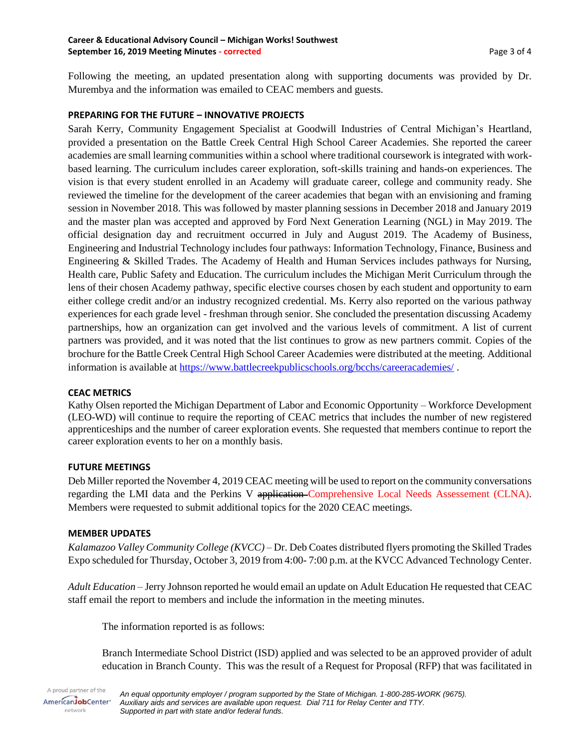#### **Career & Educational Advisory Council – Michigan Works! Southwest September 16, 2019 Meeting Minutes - corrected** Page 3 of 4

Following the meeting, an updated presentation along with supporting documents was provided by Dr. Murembya and the information was emailed to CEAC members and guests.

## **PREPARING FOR THE FUTURE – INNOVATIVE PROJECTS**

Sarah Kerry, Community Engagement Specialist at Goodwill Industries of Central Michigan's Heartland, provided a presentation on the Battle Creek Central High School Career Academies. She reported the career academies are small learning communities within a school where traditional coursework is integrated with workbased learning. The curriculum includes career exploration, soft-skills training and hands-on experiences. The vision is that every student enrolled in an Academy will graduate career, college and community ready. She reviewed the timeline for the development of the career academies that began with an envisioning and framing session in November 2018. This was followed by master planning sessions in December 2018 and January 2019 and the master plan was accepted and approved by Ford Next Generation Learning (NGL) in May 2019. The official designation day and recruitment occurred in July and August 2019. The Academy of Business, Engineering and Industrial Technology includes four pathways: Information Technology, Finance, Business and Engineering & Skilled Trades. The Academy of Health and Human Services includes pathways for Nursing, Health care, Public Safety and Education. The curriculum includes the Michigan Merit Curriculum through the lens of their chosen Academy pathway, specific elective courses chosen by each student and opportunity to earn either college credit and/or an industry recognized credential. Ms. Kerry also reported on the various pathway experiences for each grade level - freshman through senior. She concluded the presentation discussing Academy partnerships, how an organization can get involved and the various levels of commitment. A list of current partners was provided, and it was noted that the list continues to grow as new partners commit. Copies of the brochure for the Battle Creek Central High School Career Academies were distributed at the meeting. Additional information is available at<https://www.battlecreekpublicschools.org/bcchs/careeracademies/> .

## **CEAC METRICS**

Kathy Olsen reported the Michigan Department of Labor and Economic Opportunity – Workforce Development (LEO-WD) will continue to require the reporting of CEAC metrics that includes the number of new registered apprenticeships and the number of career exploration events. She requested that members continue to report the career exploration events to her on a monthly basis.

## **FUTURE MEETINGS**

Deb Miller reported the November 4, 2019 CEAC meeting will be used to report on the community conversations regarding the LMI data and the Perkins V application Comprehensive Local Needs Assessement (CLNA). Members were requested to submit additional topics for the 2020 CEAC meetings.

## **MEMBER UPDATES**

*Kalamazoo Valley Community College (KVCC)* – Dr. Deb Coates distributed flyers promoting the Skilled Trades Expo scheduled for Thursday, October 3, 2019 from 4:00- 7:00 p.m. at the KVCC Advanced Technology Center.

*Adult Education* – Jerry Johnson reported he would email an update on Adult Education He requested that CEAC staff email the report to members and include the information in the meeting minutes.

The information reported is as follows:

Branch Intermediate School District (ISD) applied and was selected to be an approved provider of adult education in Branch County. This was the result of a Request for Proposal (RFP) that was facilitated in

A proud partner of the *An equal opportunity employer / program supported by the State of Michigan. 1-800-285-WORK (9675).* AmericanJobCenter\* *Auxiliary aids and services are available upon request. Dial 711 for Relay Center and TTY.* network *Supported in part with state and/or federal funds.*